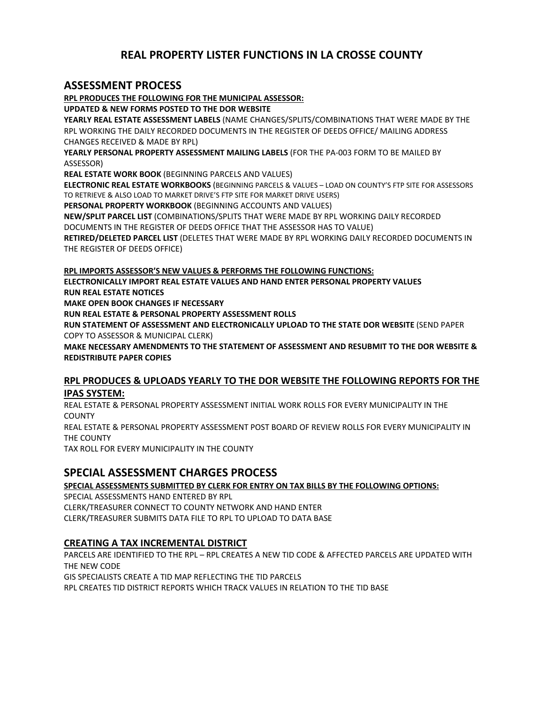# **REAL PROPERTY LISTER FUNCTIONS IN LA CROSSE COUNTY**

# **ASSESSMENT PROCESS**

**RPL PRODUCES THE FOLLOWING FOR THE MUNICIPAL ASSESSOR: UPDATED & NEW FORMS POSTED TO THE DOR WEBSITE YEARLY REAL ESTATE ASSESSMENT LABELS** (NAME CHANGES/SPLITS/COMBINATIONS THAT WERE MADE BY THE RPL WORKING THE DAILY RECORDED DOCUMENTS IN THE REGISTER OF DEEDS OFFICE/ MAILING ADDRESS CHANGES RECEIVED & MADE BY RPL) **YEARLY PERSONAL PROPERTY ASSESSMENT MAILING LABELS** (FOR THE PA‐003 FORM TO BE MAILED BY ASSESSOR) **REAL ESTATE WORK BOOK** (BEGINNING PARCELS AND VALUES) **ELECTRONIC REAL ESTATE WORKBOOKS** (BEGINNING PARCELS & VALUES – LOAD ON COUNTY'S FTP SITE FOR ASSESSORS TO RETRIEVE & ALSO LOAD TO MARKET DRIVE'S FTP SITE FOR MARKET DRIVE USERS) **PERSONAL PROPERTY WORKBOOK** (BEGINNING ACCOUNTS AND VALUES) **NEW/SPLIT PARCEL LIST** (COMBINATIONS/SPLITS THAT WERE MADE BY RPL WORKING DAILY RECORDED DOCUMENTS IN THE REGISTER OF DEEDS OFFICE THAT THE ASSESSOR HAS TO VALUE) **RETIRED/DELETED PARCEL LIST** (DELETES THAT WERE MADE BY RPL WORKING DAILY RECORDED DOCUMENTS IN THE REGISTER OF DEEDS OFFICE)

**RPL IMPORTS ASSESSOR'S NEW VALUES & PERFORMS THE FOLLOWING FUNCTIONS:**

**ELECTRONICALLY IMPORT REAL ESTATE VALUES AND HAND ENTER PERSONAL PROPERTY VALUES RUN REAL ESTATE NOTICES** 

**MAKE OPEN BOOK CHANGES IF NECESSARY**

**RUN REAL ESTATE & PERSONAL PROPERTY ASSESSMENT ROLLS**

**RUN STATEMENT OF ASSESSMENT AND ELECTRONICALLY UPLOAD TO THE STATE DOR WEBSITE** (SEND PAPER COPY TO ASSESSOR & MUNICIPAL CLERK)

**MAKE NECESSARY AMENDMENTS TO THE STATEMENT OF ASSESSMENT AND RESUBMIT TO THE DOR WEBSITE & REDISTRIBUTE PAPER COPIES**

#### **RPL PRODUCES & UPLOADS YEARLY TO THE DOR WEBSITE THE FOLLOWING REPORTS FOR THE IPAS SYSTEM:**

REAL ESTATE & PERSONAL PROPERTY ASSESSMENT INITIAL WORK ROLLS FOR EVERY MUNICIPALITY IN THE **COUNTY** 

REAL ESTATE & PERSONAL PROPERTY ASSESSMENT POST BOARD OF REVIEW ROLLS FOR EVERY MUNICIPALITY IN THE COUNTY

TAX ROLL FOR EVERY MUNICIPALITY IN THE COUNTY

# **SPECIAL ASSESSMENT CHARGES PROCESS**

**SPECIAL ASSESSMENTS SUBMITTED BY CLERK FOR ENTRY ON TAX BILLS BY THE FOLLOWING OPTIONS:**

SPECIAL ASSESSMENTS HAND ENTERED BY RPL CLERK/TREASURER CONNECT TO COUNTY NETWORK AND HAND ENTER CLERK/TREASURER SUBMITS DATA FILE TO RPL TO UPLOAD TO DATA BASE

### **CREATING A TAX INCREMENTAL DISTRICT**

PARCELS ARE IDENTIFIED TO THE RPL – RPL CREATES A NEW TID CODE & AFFECTED PARCELS ARE UPDATED WITH THE NEW CODE

GIS SPECIALISTS CREATE A TID MAP REFLECTING THE TID PARCELS

RPL CREATES TID DISTRICT REPORTS WHICH TRACK VALUES IN RELATION TO THE TID BASE